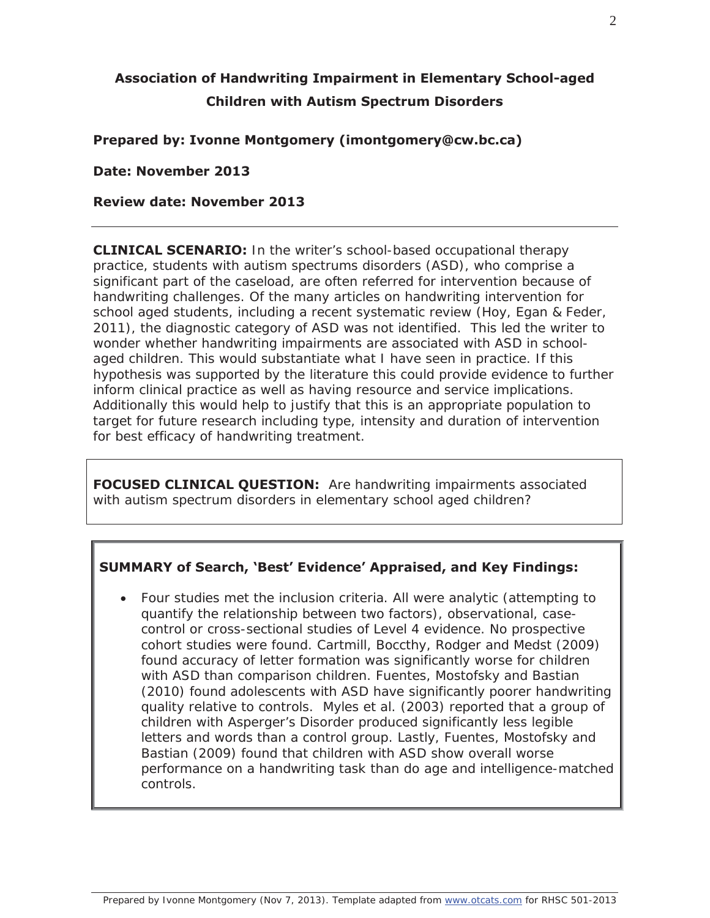# **Association of Handwriting Impairment in Elementary School-aged Children with Autism Spectrum Disorders**

#### **Prepared by: Ivonne Montgomery (imontgomery@cw.bc.ca)**

**Date: November 2013** 

#### **Review date: November 2013**

**CLINICAL SCENARIO:** In the writer's school-based occupational therapy practice, students with autism spectrums disorders (ASD), who comprise a significant part of the caseload, are often referred for intervention because of handwriting challenges. Of the many articles on handwriting intervention for school aged students, including a recent systematic review (Hoy, Egan & Feder, 2011), the diagnostic category of ASD was not identified. This led the writer to wonder whether handwriting impairments are associated with ASD in schoolaged children. This would substantiate what I have seen in practice. If this hypothesis was supported by the literature this could provide evidence to further inform clinical practice as well as having resource and service implications. Additionally this would help to justify that this is an appropriate population to target for future research including type, intensity and duration of intervention for best efficacy of handwriting treatment.

**FOCUSED CLINICAL QUESTION:** Are handwriting impairments associated with autism spectrum disorders in elementary school aged children?

#### **SUMMARY of Search, 'Best' Evidence' Appraised, and Key Findings:**

• Four studies met the inclusion criteria. All were analytic (attempting to quantify the relationship between two factors), observational, casecontrol or cross-sectional studies of Level 4 evidence. No prospective cohort studies were found. Cartmill, Boccthy, Rodger and Medst (2009) found accuracy of letter formation was significantly worse for children with ASD than comparison children. Fuentes, Mostofsky and Bastian (2010) found adolescents with ASD have significantly poorer handwriting quality relative to controls. Myles et al. (2003) reported that a group of children with Asperger's Disorder produced significantly less legible letters and words than a control group. Lastly, Fuentes, Mostofsky and Bastian (2009) found that children with ASD show overall worse performance on a handwriting task than do age and intelligence-matched controls.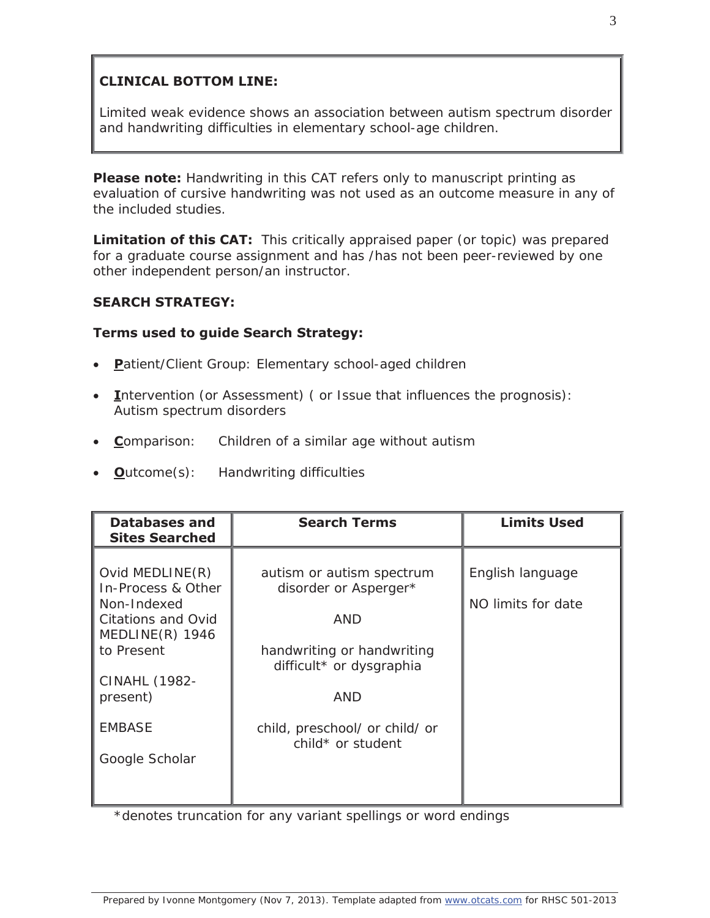# **CLINICAL BOTTOM LINE:**

Limited weak evidence shows an association between autism spectrum disorder and handwriting difficulties in elementary school-age children.

**Please note:** Handwriting in this CAT refers only to manuscript printing as evaluation of cursive handwriting was not used as an outcome measure in any of the included studies.

**Limitation of this CAT:** This critically appraised paper (or topic) was prepared for a graduate course assignment and has /has not been peer-reviewed by one other independent person/an instructor.

## **SEARCH STRATEGY:**

## **Terms used to guide Search Strategy:**

- **Patient/Client Group: Elementary school-aged children**
- Intervention (or Assessment) ( or Issue that influences the prognosis): Autism spectrum disorders
- **Comparison:** Children of a similar age without autism
- x **O**utcome(s): Handwriting difficulties

| <b>Databases and</b><br><b>Sites Searched</b>                                                                                                                               | <b>Search Terms</b>                                                                                                                                                                      | <b>Limits Used</b>                     |
|-----------------------------------------------------------------------------------------------------------------------------------------------------------------------------|------------------------------------------------------------------------------------------------------------------------------------------------------------------------------------------|----------------------------------------|
| Ovid MEDLINE(R)<br>In-Process & Other<br>Non-Indexed<br>Citations and Ovid<br>MEDLINE(R) 1946<br>to Present<br>CINAHL (1982-<br>present)<br><b>EMBASE</b><br>Google Scholar | autism or autism spectrum<br>disorder or Asperger*<br><b>AND</b><br>handwriting or handwriting<br>difficult* or dysgraphia<br>AND<br>child, preschool/ or child/ or<br>child* or student | English language<br>NO limits for date |

\*denotes truncation for any variant spellings or word endings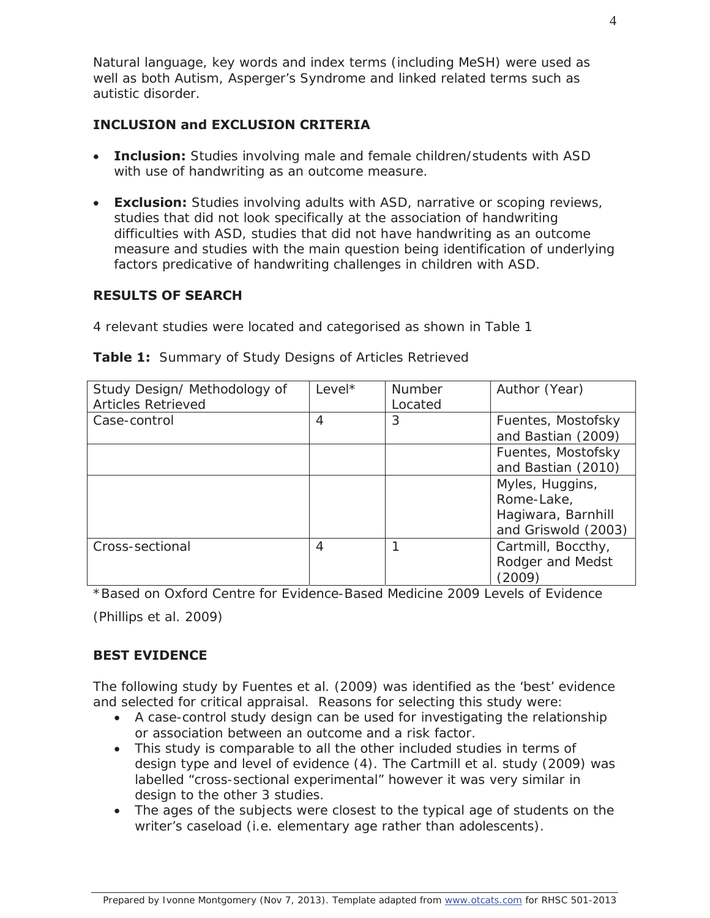Natural language, key words and index terms (including MeSH) were used as well as both Autism, Asperger's Syndrome and linked related terms such as autistic disorder.

#### **INCLUSION and EXCLUSION CRITERIA**

- **Inclusion:** Studies involving male and female children/students with ASD with use of handwriting as an outcome measure.
- **Exclusion:** Studies involving adults with ASD, narrative or scoping reviews, studies that did not look specifically at the association of handwriting difficulties with ASD, studies that did not have handwriting as an outcome measure and studies with the main question being identification of underlying factors predicative of handwriting challenges in children with ASD.

#### **RESULTS OF SEARCH**

4 relevant studies were located and categorised as shown in Table 1

| Study Design/ Methodology of | $Level*$       | <b>Number</b> | Author (Year)       |
|------------------------------|----------------|---------------|---------------------|
| <b>Articles Retrieved</b>    |                | Located       |                     |
| Case-control                 | $\overline{A}$ | 3             | Fuentes, Mostofsky  |
|                              |                |               | and Bastian (2009)  |
|                              |                |               | Fuentes, Mostofsky  |
|                              |                |               | and Bastian (2010)  |
|                              |                |               | Myles, Huggins,     |
|                              |                |               | Rome-Lake,          |
|                              |                |               | Hagiwara, Barnhill  |
|                              |                |               | and Griswold (2003) |
| Cross-sectional              | 4              |               | Cartmill, Boccthy,  |
|                              |                |               | Rodger and Medst    |
|                              |                |               | (2009)              |

**Table 1:** Summary of Study Designs of Articles Retrieved

\*Based on Oxford Centre for Evidence-Based Medicine 2009 Levels of Evidence

(Phillips et al. 2009)

# **BEST EVIDENCE**

The following study by Fuentes et al. (2009) was identified as the 'best' evidence and selected for critical appraisal. Reasons for selecting this study were:

- A case-control study design can be used for investigating the relationship or association between an outcome and a risk factor.
- This study is comparable to all the other included studies in terms of design type and level of evidence (4). The Cartmill et al. study (2009) was labelled "cross-sectional experimental" however it was very similar in design to the other 3 studies.
- The ages of the subjects were closest to the typical age of students on the writer's caseload (i.e. elementary age rather than adolescents).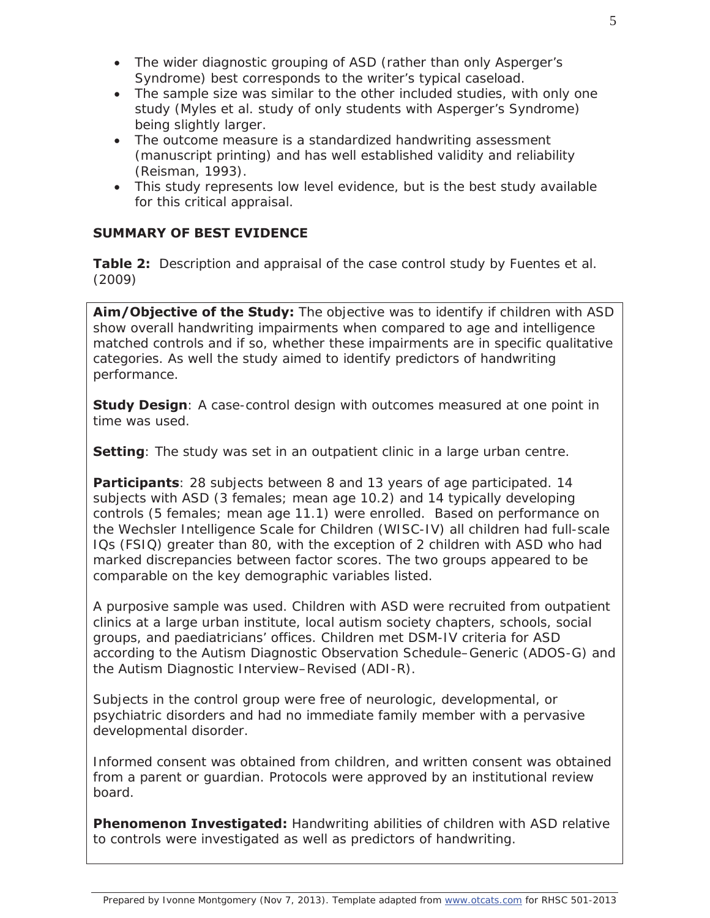- The wider diagnostic grouping of ASD (rather than only Asperger's Syndrome) best corresponds to the writer's typical caseload.
- The sample size was similar to the other included studies, with only one study (Myles et al. study of only students with Asperger's Syndrome) being slightly larger.
- The outcome measure is a standardized handwriting assessment (manuscript printing) and has well established validity and reliability (Reisman, 1993).
- This study represents low level evidence, but is the best study available for this critical appraisal.

#### **SUMMARY OF BEST EVIDENCE**

**Table 2:** Description and appraisal of the case control study by Fuentes et al. (2009)

**Aim/Objective of the Study:** The objective was to identify if children with ASD show overall handwriting impairments when compared to age and intelligence matched controls and if so, whether these impairments are in specific qualitative categories. As well the study aimed to identify predictors of handwriting performance.

**Study Design**: A case-control design with outcomes measured at one point in time was used.

**Setting**: The study was set in an outpatient clinic in a large urban centre.

**Participants**: 28 subjects between 8 and 13 years of age participated. 14 subjects with ASD (3 females; mean age 10.2) and 14 typically developing controls (5 females; mean age 11.1) were enrolled. Based on performance on the Wechsler Intelligence Scale for Children (WISC-IV) all children had full-scale IQs (FSIQ) greater than 80, with the exception of 2 children with ASD who had marked discrepancies between factor scores. The two groups appeared to be comparable on the key demographic variables listed.

A purposive sample was used. Children with ASD were recruited from outpatient clinics at a large urban institute, local autism society chapters, schools, social groups, and paediatricians' offices. Children met DSM-IV criteria for ASD according to the Autism Diagnostic Observation Schedule–Generic (ADOS-G) and the Autism Diagnostic Interview–Revised (ADI-R).

Subjects in the control group were free of neurologic, developmental, or psychiatric disorders and had no immediate family member with a pervasive developmental disorder.

Informed consent was obtained from children, and written consent was obtained from a parent or guardian. Protocols were approved by an institutional review board.

**Phenomenon Investigated:** Handwriting abilities of children with ASD relative to controls were investigated as well as predictors of handwriting.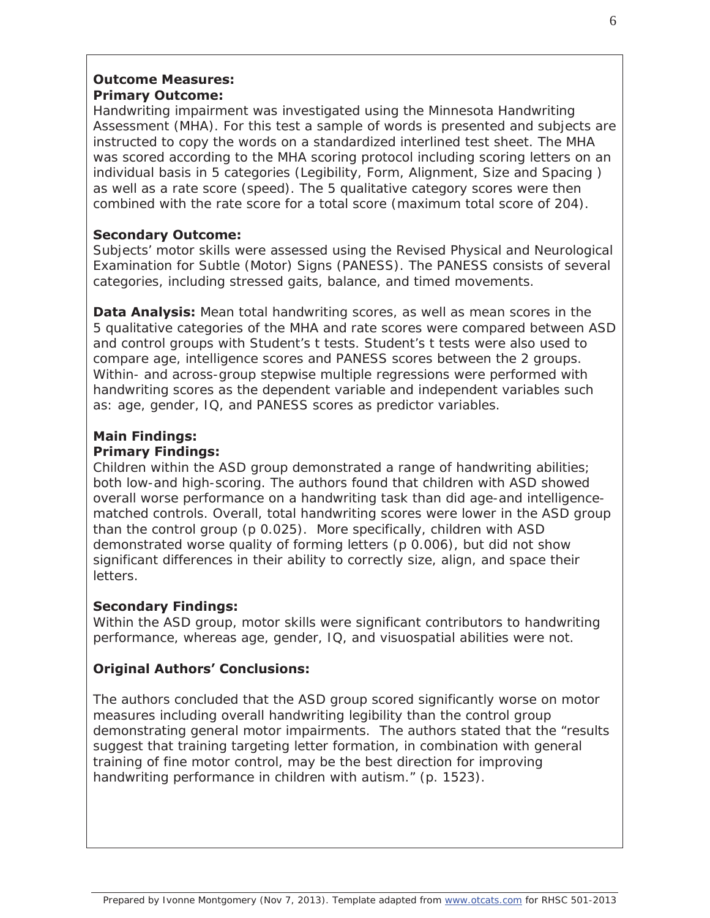## **Outcome Measures: Primary Outcome:**

Handwriting impairment was investigated using the Minnesota Handwriting Assessment (MHA). For this test a sample of words is presented and subjects are instructed to copy the words on a standardized interlined test sheet. The MHA was scored according to the MHA scoring protocol including scoring letters on an individual basis in 5 categories (Legibility, Form, Alignment, Size and Spacing ) as well as a rate score (speed). The 5 qualitative category scores were then combined with the rate score for a total score (maximum total score of 204).

## **Secondary Outcome:**

Subjects' motor skills were assessed using the Revised Physical and Neurological Examination for Subtle (Motor) Signs (PANESS). The PANESS consists of several categories, including stressed gaits, balance, and timed movements.

**Data Analysis:** Mean total handwriting scores, as well as mean scores in the 5 qualitative categories of the MHA and rate scores were compared between ASD and control groups with Student's t tests. Student's t tests were also used to compare age, intelligence scores and PANESS scores between the 2 groups. Within- and across-group stepwise multiple regressions were performed with handwriting scores as the dependent variable and independent variables such as: age, gender, IQ, and PANESS scores as predictor variables.

#### **Main Findings: Primary Findings:**

Children within the ASD group demonstrated a range of handwriting abilities; both low-and high-scoring. The authors found that children with ASD showed overall worse performance on a handwriting task than did age-and intelligencematched controls. Overall, total handwriting scores were lower in the ASD group than the control group (p 0.025). More specifically, children with ASD demonstrated worse quality of forming letters (p 0.006), but did not show significant differences in their ability to correctly size, align, and space their letters.

# **Secondary Findings:**

Within the ASD group, motor skills were significant contributors to handwriting performance, whereas age, gender, IQ, and visuospatial abilities were not.

# **Original Authors' Conclusions:**

The authors concluded that the ASD group scored significantly worse on motor measures including overall handwriting legibility than the control group demonstrating general motor impairments. The authors stated that the "results suggest that training targeting letter formation, in combination with general training of fine motor control, may be the best direction for improving handwriting performance in children with autism." (p. 1523).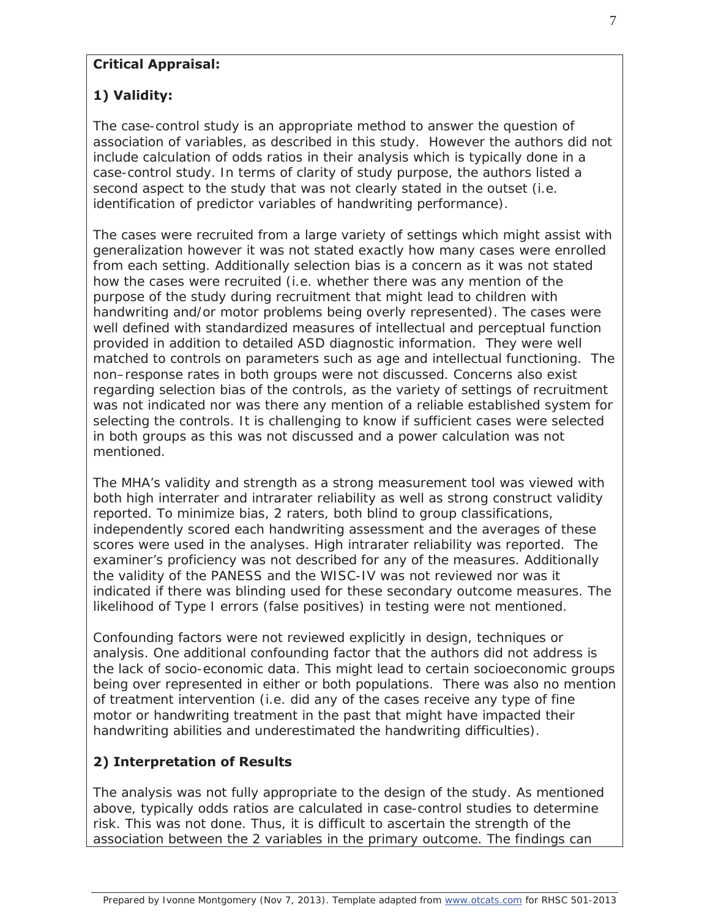## **Critical Appraisal:**

# **1) Validity:**

The case-control study is an appropriate method to answer the question of association of variables, as described in this study. However the authors did not include calculation of odds ratios in their analysis which is typically done in a case-control study. In terms of clarity of study purpose, the authors listed a second aspect to the study that was not clearly stated in the outset (i.e. identification of predictor variables of handwriting performance).

The cases were recruited from a large variety of settings which might assist with generalization however it was not stated exactly how many cases were enrolled from each setting. Additionally selection bias is a concern as it was not stated how the cases were recruited (i.e. whether there was any mention of the purpose of the study during recruitment that might lead to children with handwriting and/or motor problems being overly represented). The cases were well defined with standardized measures of intellectual and perceptual function provided in addition to detailed ASD diagnostic information. They were well matched to controls on parameters such as age and intellectual functioning. The non–response rates in both groups were not discussed. Concerns also exist regarding selection bias of the controls, as the variety of settings of recruitment was not indicated nor was there any mention of a reliable established system for selecting the controls. It is challenging to know if sufficient cases were selected in both groups as this was not discussed and a power calculation was not mentioned.

The MHA's validity and strength as a strong measurement tool was viewed with both high interrater and intrarater reliability as well as strong construct validity reported. To minimize bias, 2 raters, both blind to group classifications, independently scored each handwriting assessment and the averages of these scores were used in the analyses. High intrarater reliability was reported. The examiner's proficiency was not described for any of the measures. Additionally the validity of the PANESS and the WISC-IV was not reviewed nor was it indicated if there was blinding used for these secondary outcome measures. The likelihood of Type I errors (false positives) in testing were not mentioned.

Confounding factors were not reviewed explicitly in design, techniques or analysis. One additional confounding factor that the authors did not address is the lack of socio-economic data. This might lead to certain socioeconomic groups being over represented in either or both populations. There was also no mention of treatment intervention (i.e. did any of the cases receive any type of fine motor or handwriting treatment in the past that might have impacted their handwriting abilities and underestimated the handwriting difficulties).

# **2) Interpretation of Results**

The analysis was not fully appropriate to the design of the study. As mentioned above, typically odds ratios are calculated in case-control studies to determine risk. This was not done. Thus, it is difficult to ascertain the strength of the association between the 2 variables in the primary outcome. The findings can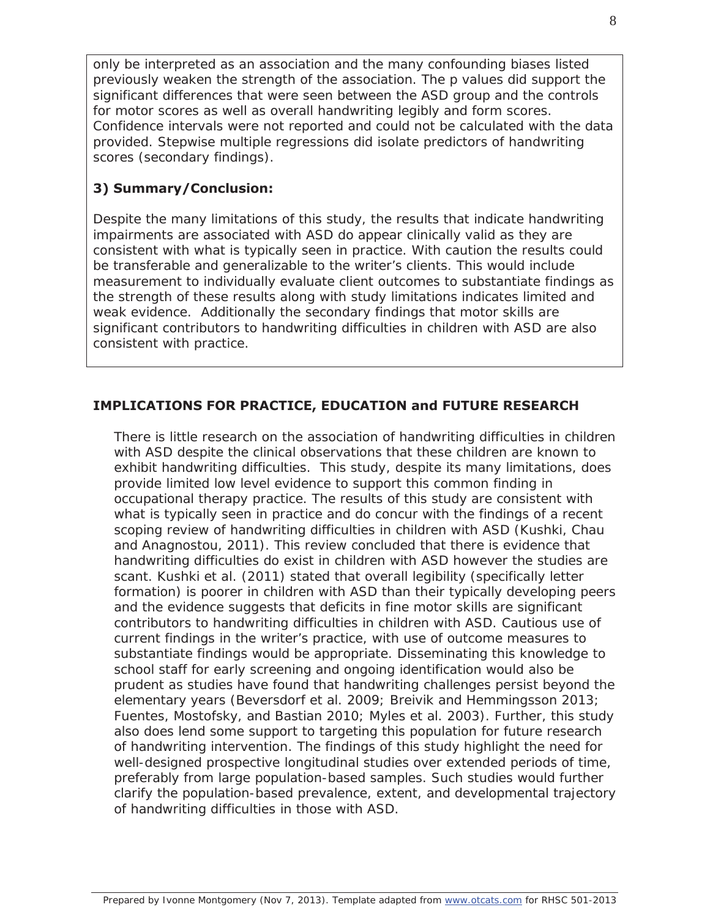only be interpreted as an association and the many confounding biases listed previously weaken the strength of the association. The p values did support the significant differences that were seen between the ASD group and the controls for motor scores as well as overall handwriting legibly and form scores. Confidence intervals were not reported and could not be calculated with the data provided. Stepwise multiple regressions did isolate predictors of handwriting scores (secondary findings).

# **3) Summary/Conclusion:**

Despite the many limitations of this study, the results that indicate handwriting impairments are associated with ASD do appear clinically valid as they are consistent with what is typically seen in practice. With caution the results could be transferable and generalizable to the writer's clients. This would include measurement to individually evaluate client outcomes to substantiate findings as the strength of these results along with study limitations indicates limited and weak evidence. Additionally the secondary findings that motor skills are significant contributors to handwriting difficulties in children with ASD are also consistent with practice.

## **IMPLICATIONS FOR PRACTICE, EDUCATION and FUTURE RESEARCH**

There is little research on the association of handwriting difficulties in children with ASD despite the clinical observations that these children are known to exhibit handwriting difficulties. This study, despite its many limitations, does provide limited low level evidence to support this common finding in occupational therapy practice. The results of this study are consistent with what is typically seen in practice and do concur with the findings of a recent scoping review of handwriting difficulties in children with ASD (Kushki, Chau and Anagnostou, 2011). This review concluded that there is evidence that handwriting difficulties do exist in children with ASD however the studies are scant. Kushki et al. (2011) stated that overall legibility (specifically letter formation) is poorer in children with ASD than their typically developing peers and the evidence suggests that deficits in fine motor skills are significant contributors to handwriting difficulties in children with ASD. Cautious use of current findings in the writer's practice, with use of outcome measures to substantiate findings would be appropriate. Disseminating this knowledge to school staff for early screening and ongoing identification would also be prudent as studies have found that handwriting challenges persist beyond the elementary years (Beversdorf et al. 2009; Breivik and Hemmingsson 2013; Fuentes, Mostofsky, and Bastian 2010; Myles et al. 2003). Further, this study also does lend some support to targeting this population for future research of handwriting intervention. The findings of this study highlight the need for well-designed prospective longitudinal studies over extended periods of time, preferably from large population-based samples. Such studies would further clarify the population-based prevalence, extent, and developmental trajectory of handwriting difficulties in those with ASD.